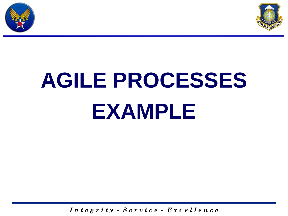



# **AGILE PROCESSES EXAMPLE**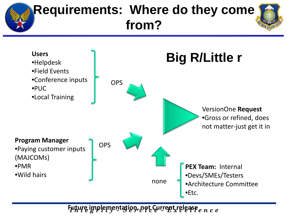#### **Requirements: Where do they come from? Users** •Helpdesk •Field Events •Conference inputs •PUC •Local Training **OPS** VersionOne **Request** •Gross or refined, does not matter-just get it in **Program Manager** •Paying customer inputs (MAJCOMs) •PMR •Wild hairs **OPS PEX Team:** Internal •Devs/SMEs/Testers •Architecture Committee •Etc. none **Big R/Little r**

 $F$ uturę implęmentation, not Current release  $e\,$ n c e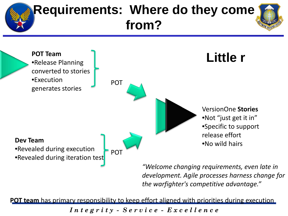#### **Requirements: Where do they come from? POT Team** •Release Planning converted to stories •Execution generates stories POT VersionOne **Stories Little r**

### **Dev Team**<br>
•No wild hairs **Development of the contract of the contract of the contract of the contract of the contract of the contract of the contract of the contract of the contract of the contract of the contract of the**

•Revealed during execution

•Revealed during iteration test

*"Welcome changing requirements, even late in development. Agile processes harness change for the warfighter's competitive advantage."*

•Not "just get it in"

•Specific to support

release effort

**POT team** has primary responsibility to keep effort aligned with priorities during execution

POT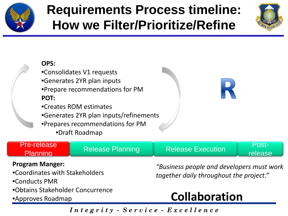

### **Requirements Process timeline: How we Filter/Prioritize/Refine**





### Pre-release

release

#### **Program Manger:**

- •Coordinates with Stakeholders
- •Conducts PMR
- •Obtains Stakeholder Concurrence
- 

*"Business people and developers must work together daily throughout the project."*

### •Approves Roadmap **Collaboration**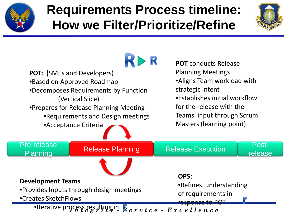

### **Requirements Process timeline: How we Filter/Prioritize/Refine**



RI  $>$  R **POT** conducts Release Planning Meetings **POT: (**SMEs and Developers) •Aligns Team workload with •Based on Approved Roadmap strategic intent •Decomposes Requirements by Function •Establishes initial workflow (Vertical Slice) for the release with the •Prepares for Release Planning Meeting Teams' input through Scrum •Requirements and Design meetings Masters (learning point) •Acceptance Criteria re-release Release Planning Release Execution Post-Pre-release release **OPS: Development Teams** •Refines understanding •Provides Inputs through design meetings of requirements in •Creates SketchFlows response to POT•Iterative process resulting in Service - Excellence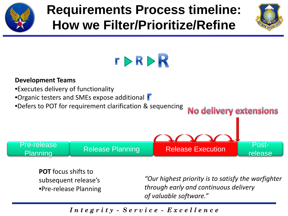

### **Requirements Process timeline: How we Filter/Prioritize/Refine**





#### **Development Teams** •Executes delivery of functionality •Organic testers and SMEs expose additional •Defers to POT for requirement clarification & sequencing **No delivery extensions** re-release Release Planning Release Execution Post-Pre-release release

**POT** focus shifts to subsequent release's •Pre-release Planning

*"Our highest priority is to satisfy the warfighter through early and continuous delivery of valuable software."*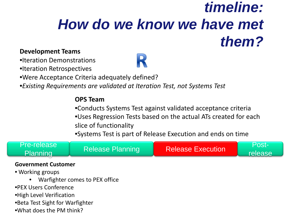### *timeline: How do we know we have met them?*

#### **Development Teams**

•Iteration Demonstrations

•Iteration Retrospectives

•Were Acceptance Criteria adequately defined?

•*Existing Requirements are validated at Iteration Test, not Systems Test*

#### **OPS Team**

•Conducts Systems Test against validated acceptance criteria

•Uses Regression Tests based on the actual ATs created for each slice of functionality

•Systems Test is part of Release Execution and ends on time



release

#### **Government Customer**

- Working groups
	- Warfighter comes to PEX office
- •PEX Users Conference
- •High Level Verification
- •Beta Test Sight for Warfighter
- •What does the PM think?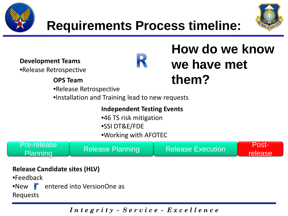



**Development Teams**

•Release Retrospective

## R

### **How do we know we have met them?**

**OPS Team**

•Release Retrospective

•Installation and Training lead to new requests

**Independent Testing Events** •46 TS risk mitigation •SSI DT&E/FDE

•Working with AFOTEC

Pre-release

re-release Release Planning Release Execution Post-

release

#### **Release Candidate sites (HLV)**

•Feedback

•New **C** entered into VersionOne as

Requests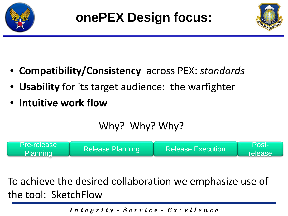



- **Compatibility/Consistency** across PEX: *standards*
- **Usability** for its target audience: the warfighter
- **Intuitive work flow**

### Why? Why? Why?



To achieve the desired collaboration we emphasize use of the tool: SketchFlow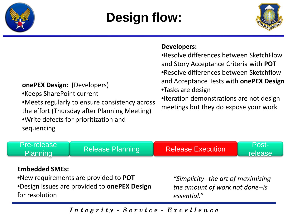

### **Design flow:**



release

#### **Developers:**

•Resolve differences between SketchFlow and Story Acceptance Criteria with **POT** •Resolve differences between Sketchflow and Acceptance Tests with **onePEX Design**

•Tasks are design

•Iteration demonstrations are not design meetings but they do expose your work

#### **onePEX Design: (**Developers)

•Keeps SharePoint current •Meets regularly to ensure consistency across the effort (Thursday after Planning Meeting) •Write defects for prioritization and sequencing

#### **Embedded SMEs:**

Pre-release

•New requirements are provided to **POT** •Design issues are provided to **onePEX Design** for resolution

*"Simplicity--the art of maximizing the amount of work not done--is essential."*

*I n t e g r i t y - S e r v i c e - E x c e l l e n c e*

Te-release Release Planning Release Execution Post-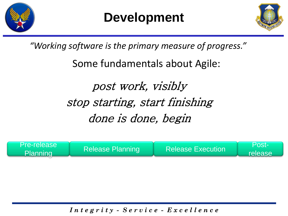



*"Working software is the primary measure of progress."*

Some fundamentals about Agile:

post work, visibly stop starting, start finishing done is done, begin

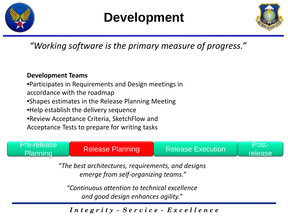

### **Development**



*"Working software is the primary measure of progress."*

#### **Development Teams**

•Participates in Requirements and Design meetings in accordance with the roadmap •Shapes estimates in the Release Planning Meeting •Help establish the delivery sequence •Review Acceptance Criteria, SketchFlow and Acceptance Tests to prepare for writing tasks

Pre-release re-release Release Planning Release Execution Post-

release

*"The best architectures, requirements, and designs emerge from self-organizing teams."*

*"Continuous attention to technical excellence and good design enhances agility."*